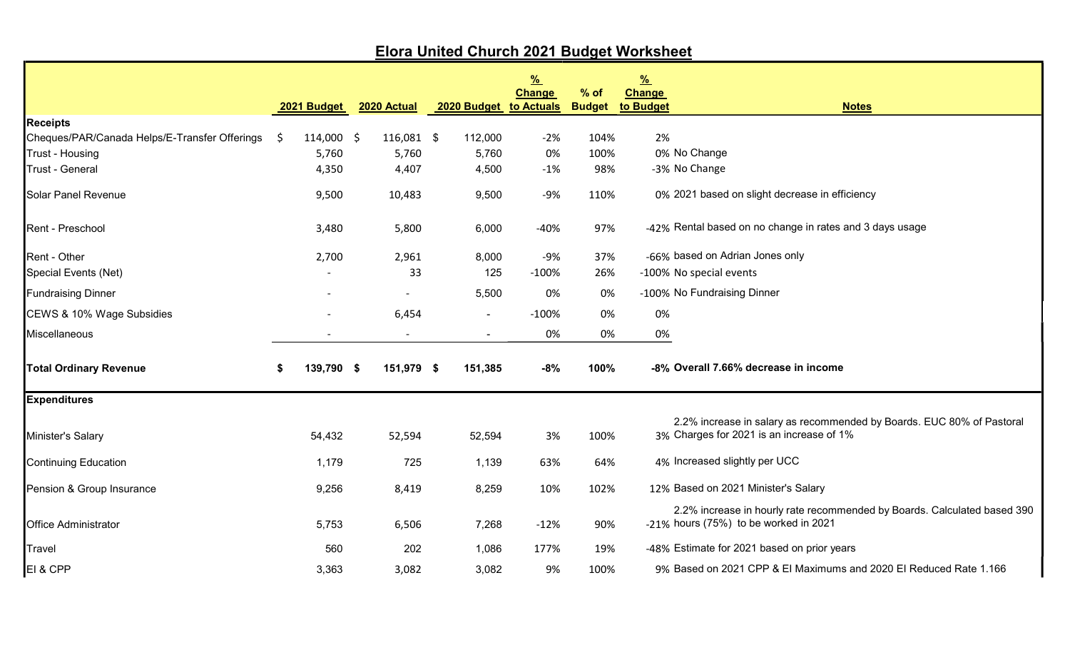|                                               |    |             |                          |                | $\frac{9}{6}$                           |                         | $\frac{9}{6}$                                                                                                       |
|-----------------------------------------------|----|-------------|--------------------------|----------------|-----------------------------------------|-------------------------|---------------------------------------------------------------------------------------------------------------------|
|                                               |    | 2021 Budget | 2020 Actual              |                | <b>Change</b><br>2020 Budget to Actuals | $%$ of<br><b>Budget</b> | <b>Change</b><br>to Budget<br><b>Notes</b>                                                                          |
| <b>Receipts</b>                               |    |             |                          |                |                                         |                         |                                                                                                                     |
| Cheques/PAR/Canada Helps/E-Transfer Offerings | S. | 114,000 \$  | 116,081 \$               | 112,000        | $-2%$                                   | 104%                    | 2%                                                                                                                  |
| Trust - Housing                               |    | 5,760       | 5,760                    | 5,760          | 0%                                      | 100%                    | 0% No Change                                                                                                        |
| <b>Trust - General</b>                        |    | 4,350       | 4,407                    | 4,500          | $-1%$                                   | 98%                     | -3% No Change                                                                                                       |
| <b>Solar Panel Revenue</b>                    |    | 9,500       | 10,483                   | 9,500          | $-9%$                                   | 110%                    | 0% 2021 based on slight decrease in efficiency                                                                      |
| Rent - Preschool                              |    | 3,480       | 5,800                    | 6,000          | $-40%$                                  | 97%                     | -42% Rental based on no change in rates and 3 days usage                                                            |
| Rent - Other                                  |    | 2,700       | 2,961                    | 8,000          | $-9%$                                   | 37%                     | -66% based on Adrian Jones only                                                                                     |
| Special Events (Net)                          |    |             | 33                       | 125            | $-100%$                                 | 26%                     | -100% No special events                                                                                             |
| <b>Fundraising Dinner</b>                     |    |             |                          | 5,500          | 0%                                      | 0%                      | -100% No Fundraising Dinner                                                                                         |
| CEWS & 10% Wage Subsidies                     |    |             | 6,454                    | $\blacksquare$ | $-100%$                                 | 0%                      | 0%                                                                                                                  |
| Miscellaneous                                 |    |             | $\overline{\phantom{a}}$ | $\blacksquare$ | 0%                                      | 0%                      | 0%                                                                                                                  |
| <b>Total Ordinary Revenue</b>                 | \$ | 139,790 \$  | 151,979 \$               | 151,385        | $-8%$                                   | 100%                    | -8% Overall 7.66% decrease in income                                                                                |
| <b>Expenditures</b>                           |    |             |                          |                |                                         |                         |                                                                                                                     |
| Minister's Salary                             |    | 54,432      | 52,594                   | 52,594         | 3%                                      | 100%                    | 2.2% increase in salary as recommended by Boards. EUC 80% of Pastoral<br>3% Charges for 2021 is an increase of 1%   |
| <b>Continuing Education</b>                   |    | 1,179       | 725                      | 1,139          | 63%                                     | 64%                     | 4% Increased slightly per UCC                                                                                       |
| Pension & Group Insurance                     |    | 9,256       | 8,419                    | 8,259          | 10%                                     | 102%                    | 12% Based on 2021 Minister's Salary                                                                                 |
| <b>Office Administrator</b>                   |    | 5,753       | 6,506                    | 7,268          | $-12%$                                  | 90%                     | 2.2% increase in hourly rate recommended by Boards. Calculated based 390<br>-21% hours $(75%)$ to be worked in 2021 |
| <b>Travel</b>                                 |    | 560         | 202                      | 1,086          | 177%                                    | 19%                     | -48% Estimate for 2021 based on prior years                                                                         |
| EI & CPP                                      |    | 3,363       | 3,082                    | 3,082          | 9%                                      | 100%                    | 9% Based on 2021 CPP & El Maximums and 2020 El Reduced Rate 1.166                                                   |

## Elora United Church 2021 Budget Worksheet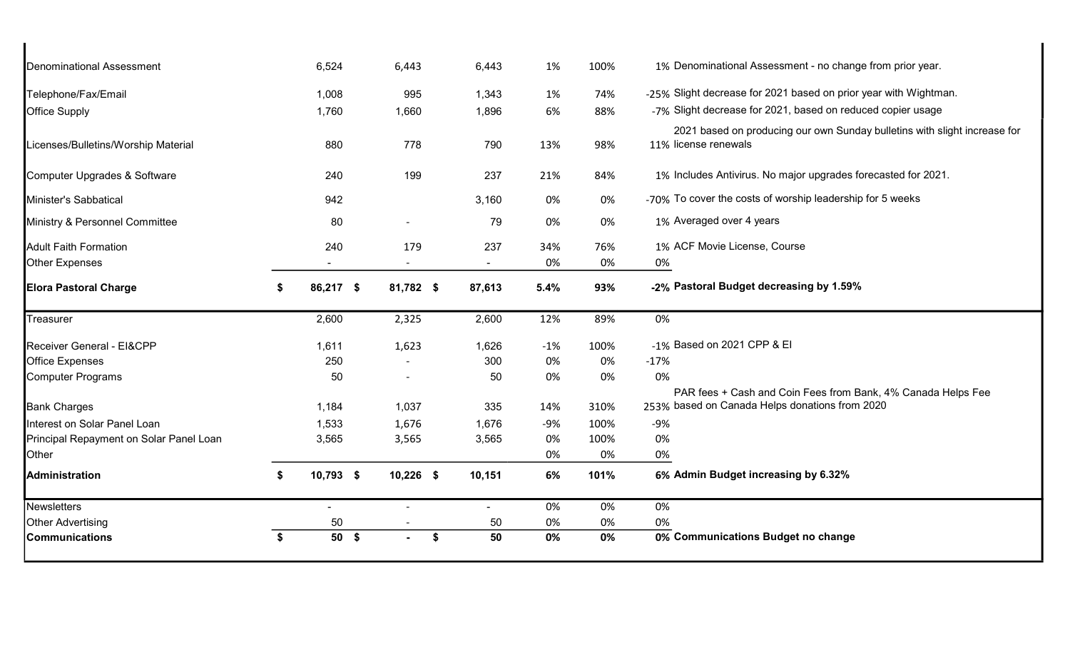|    | 6,524 | 6,443                           | 6,443                                                                          | 1%                             | 100%      | 1% Denominational Assessment - no change from prior year.                                                      |
|----|-------|---------------------------------|--------------------------------------------------------------------------------|--------------------------------|-----------|----------------------------------------------------------------------------------------------------------------|
|    | 1,008 |                                 | 1,343                                                                          | 1%                             | 74%       | -25% Slight decrease for 2021 based on prior year with Wightman.                                               |
|    | 1,760 |                                 | 1,896                                                                          | 6%                             | 88%       | -7% Slight decrease for 2021, based on reduced copier usage                                                    |
|    | 880   |                                 | 790                                                                            | 13%                            | 98%       | 2021 based on producing our own Sunday bulletins with slight increase for<br>11% license renewals              |
|    | 240   |                                 | 237                                                                            | 21%                            | 84%       | 1% Includes Antivirus. No major upgrades forecasted for 2021.                                                  |
|    | 942   |                                 | 3,160                                                                          | 0%                             | 0%        | -70% To cover the costs of worship leadership for 5 weeks                                                      |
|    | 80    | $\overline{\phantom{a}}$        | 79                                                                             | 0%                             | 0%        | 1% Averaged over 4 years                                                                                       |
|    | 240   |                                 | 237<br>$\sim$                                                                  | 34%<br>0%                      | 76%<br>0% | 1% ACF Movie License, Course<br>0%                                                                             |
| S. |       |                                 | 87,613                                                                         | 5.4%                           | 93%       | -2% Pastoral Budget decreasing by 1.59%                                                                        |
|    | 2,600 |                                 | 2,600                                                                          | 12%                            | 89%       | 0%                                                                                                             |
|    | 1,611 |                                 | 1,626                                                                          | $-1%$                          | 100%      | -1% Based on 2021 CPP & EI                                                                                     |
|    | 250   |                                 | 300                                                                            | 0%                             | 0%        | $-17%$                                                                                                         |
|    | 50    | $\overline{\phantom{a}}$        | 50                                                                             | 0%                             | 0%        | 0%                                                                                                             |
|    | 1,184 |                                 | 335                                                                            | 14%                            | 310%      | PAR fees + Cash and Coin Fees from Bank, 4% Canada Helps Fee<br>253% based on Canada Helps donations from 2020 |
|    | 1,533 |                                 | 1,676                                                                          | $-9%$                          | 100%      | $-9%$                                                                                                          |
|    | 3,565 |                                 | 3,565                                                                          | 0%                             | 100%      | 0%                                                                                                             |
|    |       |                                 |                                                                                | 0%                             | 0%        | 0%                                                                                                             |
| \$ |       |                                 | 10,151                                                                         | 6%                             | 101%      | 6% Admin Budget increasing by 6.32%                                                                            |
|    | ٠     | $\blacksquare$                  |                                                                                | 0%                             | 0%        | 0%                                                                                                             |
|    | 50    |                                 | 50                                                                             | 0%                             | 0%        | 0%                                                                                                             |
| \$ |       | $\blacksquare$                  | 50                                                                             | 0%                             | 0%        | 0% Communications Budget no change                                                                             |
|    |       | 86,217 \$<br>10,793 \$<br>50 \$ | 995<br>1,660<br>778<br>199<br>179<br>2,325<br>1,623<br>1,037<br>1,676<br>3,565 | 81,782 \$<br>$10,226$ \$<br>\$ |           |                                                                                                                |

 $\blacksquare$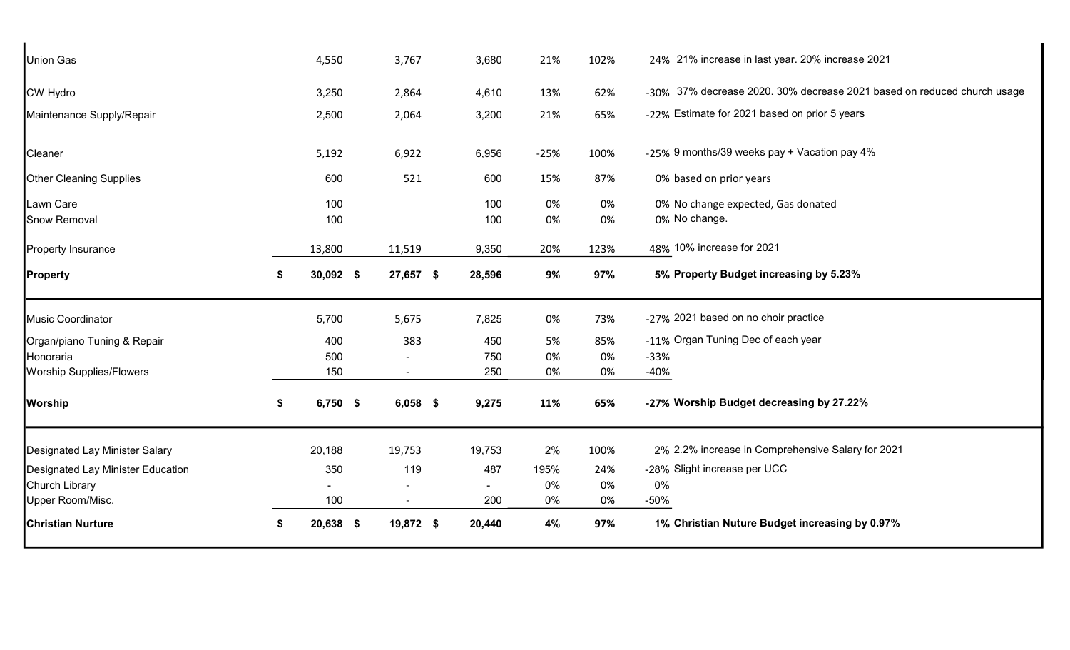| 0% No change.<br>0%<br>48% 10% increase for 2021<br>123%<br>5% Property Budget increasing by 5.23%<br>97%<br>-27% 2021 based on no choir practice<br>73%<br>-11% Organ Tuning Dec of each year<br>85%<br>0%<br>$-33%$<br>0%<br>$-40%$<br>-27% Worship Budget decreasing by 27.22%<br>65%<br>2% 2.2% increase in Comprehensive Salary for 2021<br>100%<br>-28% Slight increase per UCC<br>24%<br>$0\%$<br>0%<br>$-50%$<br>0%<br>1% Christian Nuture Budget increasing by 0.97%<br>97% |
|--------------------------------------------------------------------------------------------------------------------------------------------------------------------------------------------------------------------------------------------------------------------------------------------------------------------------------------------------------------------------------------------------------------------------------------------------------------------------------------|
|                                                                                                                                                                                                                                                                                                                                                                                                                                                                                      |
|                                                                                                                                                                                                                                                                                                                                                                                                                                                                                      |
|                                                                                                                                                                                                                                                                                                                                                                                                                                                                                      |
|                                                                                                                                                                                                                                                                                                                                                                                                                                                                                      |
|                                                                                                                                                                                                                                                                                                                                                                                                                                                                                      |
|                                                                                                                                                                                                                                                                                                                                                                                                                                                                                      |
|                                                                                                                                                                                                                                                                                                                                                                                                                                                                                      |
|                                                                                                                                                                                                                                                                                                                                                                                                                                                                                      |
|                                                                                                                                                                                                                                                                                                                                                                                                                                                                                      |
|                                                                                                                                                                                                                                                                                                                                                                                                                                                                                      |
|                                                                                                                                                                                                                                                                                                                                                                                                                                                                                      |
|                                                                                                                                                                                                                                                                                                                                                                                                                                                                                      |
| 0%<br>0% No change expected, Gas donated                                                                                                                                                                                                                                                                                                                                                                                                                                             |
| 87%<br>0% based on prior years                                                                                                                                                                                                                                                                                                                                                                                                                                                       |
| -25% 9 months/39 weeks pay + Vacation pay 4%<br>100%                                                                                                                                                                                                                                                                                                                                                                                                                                 |
| -22% Estimate for 2021 based on prior 5 years<br>65%                                                                                                                                                                                                                                                                                                                                                                                                                                 |
|                                                                                                                                                                                                                                                                                                                                                                                                                                                                                      |
| -30% 37% decrease 2020. 30% decrease 2021 based on reduced church usage<br>62%                                                                                                                                                                                                                                                                                                                                                                                                       |
|                                                                                                                                                                                                                                                                                                                                                                                                                                                                                      |